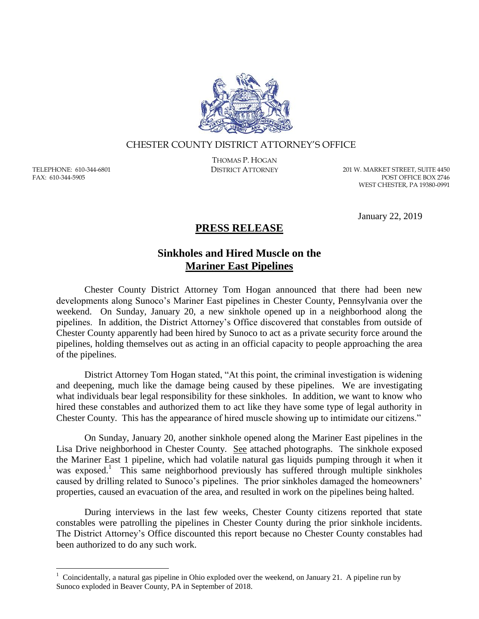

## CHESTER COUNTY DISTRICT ATTORNEY'S OFFICE

TELEPHONE: 610-344-6801 FAX: 610-344-5905

 $\overline{a}$ 

THOMAS P. HOGAN

DISTRICT ATTORNEY 201 W. MARKET STREET, SUITE 4450 POST OFFICE BOX 2746 WEST CHESTER, PA 19380-0991

January 22, 2019

## **PRESS RELEASE**

## **Sinkholes and Hired Muscle on the Mariner East Pipelines**

Chester County District Attorney Tom Hogan announced that there had been new developments along Sunoco's Mariner East pipelines in Chester County, Pennsylvania over the weekend. On Sunday, January 20, a new sinkhole opened up in a neighborhood along the pipelines. In addition, the District Attorney's Office discovered that constables from outside of Chester County apparently had been hired by Sunoco to act as a private security force around the pipelines, holding themselves out as acting in an official capacity to people approaching the area of the pipelines.

District Attorney Tom Hogan stated, "At this point, the criminal investigation is widening and deepening, much like the damage being caused by these pipelines. We are investigating what individuals bear legal responsibility for these sinkholes. In addition, we want to know who hired these constables and authorized them to act like they have some type of legal authority in Chester County. This has the appearance of hired muscle showing up to intimidate our citizens."

On Sunday, January 20, another sinkhole opened along the Mariner East pipelines in the Lisa Drive neighborhood in Chester County. See attached photographs. The sinkhole exposed the Mariner East 1 pipeline, which had volatile natural gas liquids pumping through it when it was exposed.<sup>1</sup> This same neighborhood previously has suffered through multiple sinkholes caused by drilling related to Sunoco's pipelines. The prior sinkholes damaged the homeowners' properties, caused an evacuation of the area, and resulted in work on the pipelines being halted.

During interviews in the last few weeks, Chester County citizens reported that state constables were patrolling the pipelines in Chester County during the prior sinkhole incidents. The District Attorney's Office discounted this report because no Chester County constables had been authorized to do any such work.

<sup>&</sup>lt;sup>1</sup> Coincidentally, a natural gas pipeline in Ohio exploded over the weekend, on January 21. A pipeline run by Sunoco exploded in Beaver County, PA in September of 2018.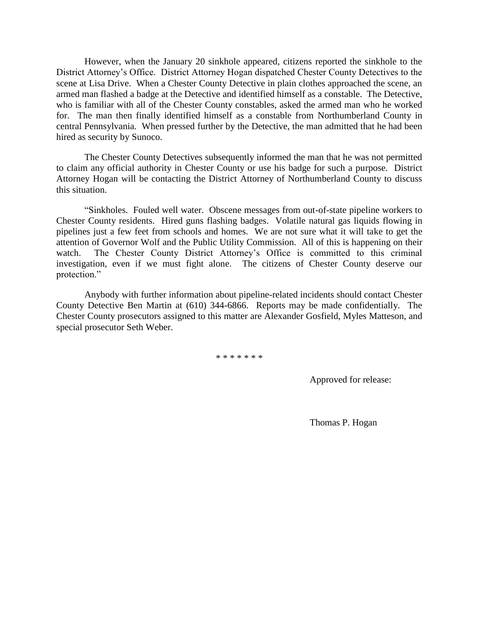However, when the January 20 sinkhole appeared, citizens reported the sinkhole to the District Attorney's Office. District Attorney Hogan dispatched Chester County Detectives to the scene at Lisa Drive. When a Chester County Detective in plain clothes approached the scene, an armed man flashed a badge at the Detective and identified himself as a constable. The Detective, who is familiar with all of the Chester County constables, asked the armed man who he worked for. The man then finally identified himself as a constable from Northumberland County in central Pennsylvania. When pressed further by the Detective, the man admitted that he had been hired as security by Sunoco.

The Chester County Detectives subsequently informed the man that he was not permitted to claim any official authority in Chester County or use his badge for such a purpose. District Attorney Hogan will be contacting the District Attorney of Northumberland County to discuss this situation.

"Sinkholes. Fouled well water. Obscene messages from out-of-state pipeline workers to Chester County residents. Hired guns flashing badges. Volatile natural gas liquids flowing in pipelines just a few feet from schools and homes. We are not sure what it will take to get the attention of Governor Wolf and the Public Utility Commission. All of this is happening on their watch. The Chester County District Attorney's Office is committed to this criminal investigation, even if we must fight alone. The citizens of Chester County deserve our protection."

Anybody with further information about pipeline-related incidents should contact Chester County Detective Ben Martin at (610) 344-6866. Reports may be made confidentially. The Chester County prosecutors assigned to this matter are Alexander Gosfield, Myles Matteson, and special prosecutor Seth Weber.

\* \* \* \* \* \* \*

Approved for release:

Thomas P. Hogan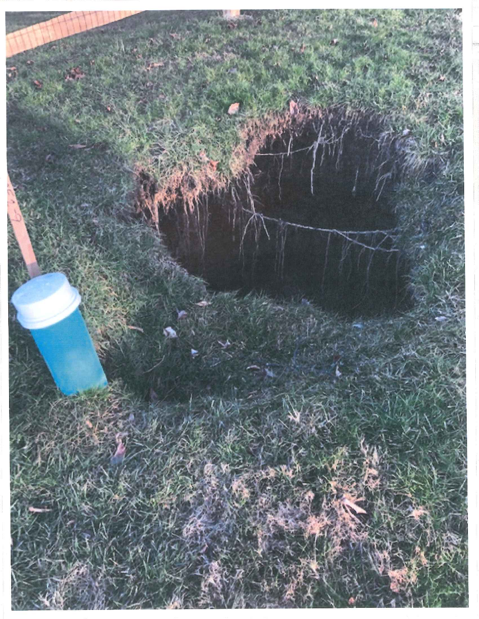